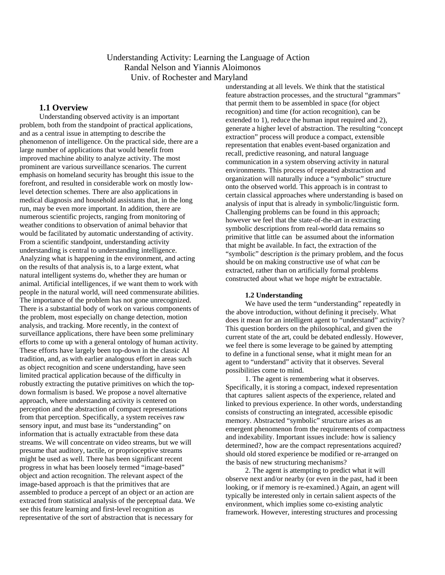# Understanding Activity: Learning the Language of Action Randal Nelson and Yiannis Aloimonos Univ. of Rochester and Maryland

## **1.1 Overview**

Understanding observed activity is an important problem, both from the standpoint of practical applications, and as a central issue in attempting to describe the phenomenon of intelligence. On the practical side, there are a large number of applications that would benefit from improved machine ability to analyze activity. The most prominent are various surveillance scenarios. The current emphasis on homeland security has brought this issue to the forefront, and resulted in considerable work on mostly lowlevel detection schemes. There are also applications in medical diagnosis and household assistants that, in the long run, may be even more important. In addition, there are numerous scientific projects, ranging from monitoring of weather conditions to observation of animal behavior that would be facilitated by automatic understanding of activity. From a scientific standpoint, understanding activity understanding is central to understanding intelligence. Analyzing what is happening in the environment, and acting on the results of that analysis is, to a large extent, what natural intelligent systems do, whether they are human or animal. Artificial intelligences, if we want them to work with people in the natural world, will need commensurate abilities. The importance of the problem has not gone unrecognized. There is a substantial body of work on various components of the problem, most especially on change detection, motion analysis, and tracking. More recently, in the context of surveillance applications, there have been some preliminary efforts to come up with a general ontology of human activity. These efforts have largely been top-down in the classic AI tradition, and, as with earlier analogous effort in areas such as object recognition and scene understanding, have seen limited practical application because of the difficulty in robustly extracting the putative primitives on which the topdown formalism is based. We propose a novel alternative approach, where understanding activity is centered on perception and the abstraction of compact representations from that perception. Specifically, a system receives raw sensory input, and must base its "understanding" on information that is actually extractable from these data streams. We will concentrate on video streams, but we will presume that auditory, tactile, or proprioceptive streams might be used as well. There has been significant recent progress in what has been loosely termed "image-based" object and action recognition. The relevant aspect of the image-based approach is that the primitives that are assembled to produce a percept of an object or an action are extracted from statistical analysis of the perceptual data. We see this feature learning and first-level recognition as representative of the sort of abstraction that is necessary for

understanding at all levels. We think that the statistical feature abstraction processes, and the structural "grammars" that permit them to be assembled in space (for object recognition) and time (for action recognition), can be extended to 1), reduce the human input required and 2), generate a higher level of abstraction. The resulting "concept extraction" process will produce a compact, extensible representation that enables event-based organization and recall, predictive reasoning, and natural language communication in a system observing activity in natural environments. This process of repeated abstraction and organization will naturally induce a "symbolic" structure onto the observed world. This approach is in contrast to certain classical approaches where understanding is based on analysis of input that is already in symbolic/linguistic form. Challenging problems can be found in this approach; however we feel that the state-of-the-art in extracting symbolic descriptions from real-world data remains so primitive that little can be assumed about the information that might be available. In fact, the extraction of the "symbolic" description *is* the primary problem, and the focus should be on making constructive use of what *can* be extracted, rather than on artificially formal problems constructed about what we hope *might* be extractable.

### **1.2 Understanding**

We have used the term "understanding" repeatedly in the above introduction, without defining it precisely. What does it mean for an intelligent agent to "understand" activity? This question borders on the philosophical, and given the current state of the art, could be debated endlessly. However, we feel there is some leverage to be gained by attempting to define in a functional sense, what it might mean for an agent to "understand" activity that it observes. Several possibilities come to mind.

1. The agent is remembering what it observes. Specifically, it is storing a compact, indexed representation that captures salient aspects of the experience, related and linked to previous experience. In other words, understanding consists of constructing an integrated, accessible episodic memory. Abstracted "symbolic" structure arises as an emergent phenomenon from the requirements of compactness and indexability. Important issues include: how is saliency determined?, how are the compact representations acquired? should old stored experience be modified or re-arranged on the basis of new structuring mechanisms?

2. The agent is attempting to predict what it will observe next and/or nearby (or even in the past, had it been looking, or if memory is re-examined.) Again, an agent will typically be interested only in certain salient aspects of the environment, which implies some co-existing analytic framework. However, interesting structures and processing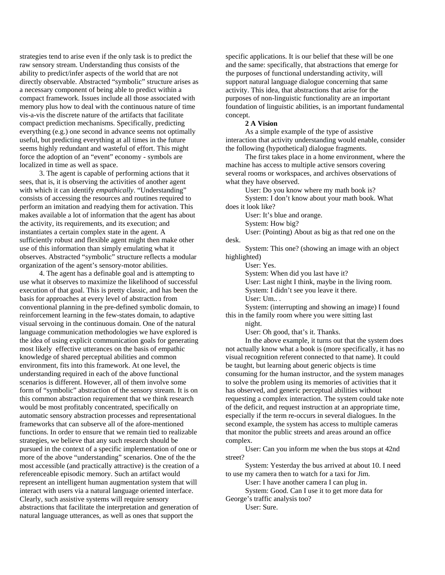strategies tend to arise even if the only task is to predict the raw sensory stream. Understanding thus consists of the ability to predict/infer aspects of the world that are not directly observable. Abstracted "symbolic" structure arises as a necessary component of being able to predict within a compact framework. Issues include all those associated with memory plus how to deal with the continuous nature of time vis-a-vis the discrete nature of the artifacts that facilitate compact prediction mechanisms. Specifically, predicting everything (e.g.) one second in advance seems not optimally useful, but predicting everything at all times in the future seems highly redundant and wasteful of effort. This might force the adoption of an "event" economy - symbols are localized in time as well as space.

3. The agent is capable of performing actions that it sees, that is, it is observing the activities of another agent with which it can identify *empathically*. "Understanding" consists of accessing the resources and routines required to perform an imitation and readying them for activation. This makes available a lot of information that the agent has about the activity, its requirements, and its execution; and instantiates a certain complex state in the agent. A sufficiently robust and flexible agent might then make other use of this information than simply emulating what it observes. Abstracted "symbolic" structure reflects a modular organization of the agent's sensory-motor abilities.

4. The agent has a definable goal and is attempting to use what it observes to maximize the likelihood of successful execution of that goal. This is pretty classic, and has been the basis for approaches at every level of abstraction from conventional planning in the pre-defined symbolic domain, to reinforcement learning in the few-states domain, to adaptive visual servoing in the continuous domain. One of the natural language communication methodologies we have explored is the idea of using explicit communication goals for generating most likely effective utterances on the basis of empathic knowledge of shared perceptual abilities and common environment, fits into this framework. At one level, the understanding required in each of the above functional scenarios is different. However, all of them involve some form of "symbolic" abstraction of the sensory stream. It is on this common abstraction requirement that we think research would be most profitably concentrated, specifically on automatic sensory abstraction processes and representational frameworks that can subserve all of the afore-mentioned functions. In order to ensure that we remain tied to realizable strategies, we believe that any such research should be pursued in the context of a specific implementation of one or more of the above "understanding" scenarios. One of the the most accessible (and practically attractive) is the creation of a referenceable episodic memory. Such an artifact would represent an intelligent human augmentation system that will interact with users via a natural language oriented interface. Clearly, such assistive systems will require sensory abstractions that facilitate the interpretation and generation of natural language utterances, as well as ones that support the

specific applications. It is our belief that these will be one and the same: specifically, that abstractions that emerge for the purposes of functional understanding activity, will support natural language dialogue concerning that same activity. This idea, that abstractions that arise for the purposes of non-linguistic functionality are an important foundation of linguistic abilities, is an important fundamental concept.

#### **2 A Vision**

As a simple example of the type of assistive interaction that activity understanding would enable, consider the following (hypothetical) dialogue fragments.

The first takes place in a home environment, where the machine has access to multiple active sensors covering several rooms or workspaces, and archives observations of what they have observed.

User: Do you know where my math book is?

System: I don't know about your math book. What does it look like?

User: It's blue and orange.

System: How big?

User: (Pointing) About as big as that red one on the desk.

System: This one? (showing an image with an object highlighted)

User: Yes.

System: When did you last have it?

User: Last night I think, maybe in the living room.

System: I didn't see you leave it there.

User: Um.. .

System: (interrupting and showing an image) I found this in the family room where you were sitting last

> night. User: Oh good, that's it. Thanks.

In the above example, it turns out that the system does not actually know what a book is (more specifically, it has no visual recognition referent connected to that name). It could be taught, but learning about generic objects is time consuming for the human instructor, and the system manages to solve the problem using its memories of activities that it has observed, and generic perceptual abilities without requesting a complex interaction. The system could take note of the deficit, and request instruction at an appropriate time, especially if the term re-occurs in several dialogues. In the second example, the system has access to multiple cameras that monitor the public streets and areas around an office complex.

User: Can you inform me when the bus stops at 42nd street?

System: Yesterday the bus arrived at about 10. I need to use my camera then to watch for a taxi for Jim.

User: I have another camera I can plug in.

System: Good. Can I use it to get more data for George's traffic analysis too?

User: Sure.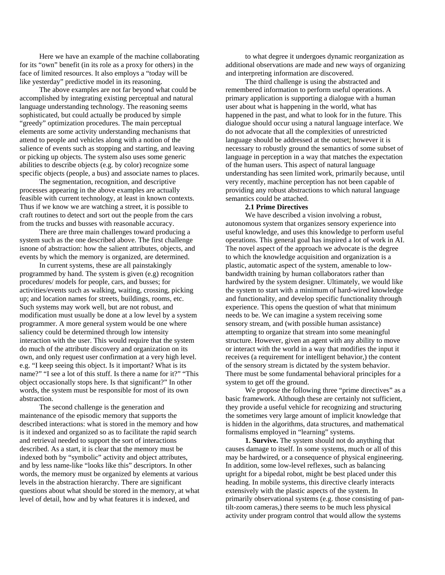Here we have an example of the machine collaborating for its "own" benefit (in its role as a proxy for others) in the face of limited resources. It also employs a "today will be like yesterday" predictive model in its reasoning.

The above examples are not far beyond what could be accomplished by integrating existing perceptual and natural language understanding technology. The reasoning seems sophisticated, but could actually be produced by simple "greedy" optimization procedures. The main perceptual elements are some activity understanding mechanisms that attend to people and vehicles along with a notion of the salience of events such as stopping and starting, and leaving or picking up objects. The system also uses some generic abilities to describe objects (e.g. by color) recognize some specific objects (people, a bus) and associate names to places.

The segmentation, recognition, and descriptive processes appearing in the above examples are actually feasible with current technology, at least in known contexts. Thus if we know we are watching a street, it is possible to craft routines to detect and sort out the people from the cars from the trucks and busses with reasonable accuracy.

There are three main challenges toward producing a system such as the one described above. The first challenge isnone of abstraction: how the salient attributes, objects, and events by which the memory is organized, are determined.

In current systems, these are all painstakingly programmed by hand. The system is given (e.g) recognition procedures/ models for people, cars, and busses; for activities/events such as walking, waiting, crossing, picking up; and location names for streets, buildings, rooms, etc. Such systems may work well, but are not robust, and modification must usually be done at a low level by a system programmer. A more general system would be one where saliency could be determined through low intensity interaction with the user. This would require that the system do much of the attribute discovery and organization on its own, and only request user confirmation at a very high level. e.g. "I keep seeing this object. Is it important? What is its name?" "I see a lot of this stuff. Is there a name for it?" "This object occasionally stops here. Is that significant?" In other words, the system must be responsible for most of its own abstraction.

The second challenge is the generation and maintenance of the episodic memory that supports the described interactions: what is stored in the memory and how is it indexed and organized so as to facilitate the rapid search and retrieval needed to support the sort of interactions described. As a start, it is clear that the memory must be indexed both by "symbolic" activity and object attributes, and by less name-like "looks like this" descriptors. In other words, the memory must be organized by elements at various levels in the abstraction hierarchy. There are significant questions about what should be stored in the memory, at what level of detail, how and by what features it is indexed, and

to what degree it undergoes dynamic reorganization as additional observations are made and new ways of organizing and interpreting information are discovered.

The third challenge is using the abstracted and remembered information to perform useful operations. A primary application is supporting a dialogue with a human user about what is happening in the world, what has happened in the past, and what to look for in the future. This dialogue should occur using a natural language interface. We do not advocate that all the complexities of unrestricted language should be addressed at the outset; however it is necessary to robustly ground the semantics of some subset of language in perception in a way that matches the expectation of the human users. This aspect of natural language understanding has seen limited work, primarily because, until very recently, machine perception has not been capable of providing any robust abstractions to which natural language semantics could be attached.

#### **2.1 Prime Directives**

We have described a vision involving a robust, autonomous system that organizes sensory experience into useful knowledge, and uses this knowledge to perform useful operations. This general goal has inspired a lot of work in AI. The novel aspect of the approach we advocate is the degree to which the knowledge acquisition and organization is a plastic, automatic aspect of the system, amenable to lowbandwidth training by human collaborators rather than hardwired by the system designer. Ultimately, we would like the system to start with a minimum of hard-wired knowledge and functionality, and develop specific functionality through experience. This opens the question of what that minimum needs to be. We can imagine a system receiving some sensory stream, and (with possible human assistance) attempting to organize that stream into some meaningful structure. However, given an agent with any ability to move or interact with the world in a way that modifies the input it receives (a requirement for intelligent behavior,) the content of the sensory stream is dictated by the system behavior. There must be some fundamental behavioral principles for a system to get off the ground.

We propose the following three "prime directives" as a basic framework. Although these are certainly not sufficient, they provide a useful vehicle for recognizing and structuring the sometimes very large amount of implicit knowledge that is hidden in the algorithms, data structures, and mathematical formalisms employed in "learning" systems.

**1. Survive.** The system should not do anything that causes damage to itself. In some systems, much or all of this may be hardwired, or a consequence of physical engineering. In addition, some low-level reflexes, such as balancing upright for a bipedal robot, might be best placed under this heading. In mobile systems, this directive clearly interacts extensively with the plastic aspects of the system. In primarily observational systems (e.g. those consisting of pantilt-zoom cameras,) there seems to be much less physical activity under program control that would allow the systems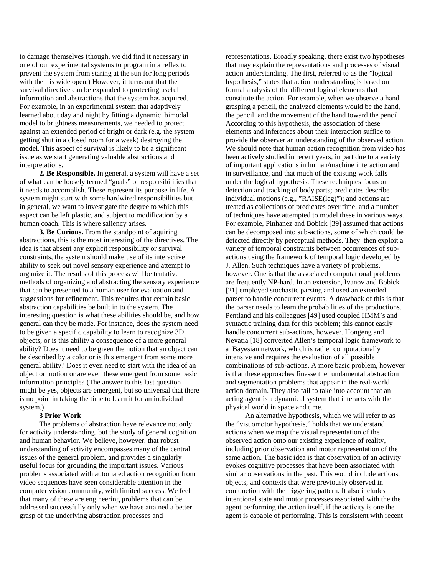to damage themselves (though, we did find it necessary in one of our experimental systems to program in a reflex to prevent the system from staring at the sun for long periods with the iris wide open.) However, it turns out that the survival directive can be expanded to protecting useful information and abstractions that the system has acquired. For example, in an experimental system that adaptively learned about day and night by fitting a dynamic, bimodal model to brightness measurements, we needed to protect against an extended period of bright or dark (e.g. the system getting shut in a closed room for a week) destroying the model. This aspect of survival is likely to be a significant issue as we start generating valuable abstractions and interpretations.

**2. Be Responsible.** In general, a system will have a set of what can be loosely termed "goals" or responsibilities that it needs to accomplish. These represent its purpose in life. A system might start with some hardwired responsibilities but in general, we want to investigate the degree to which this aspect can be left plastic, and subject to modification by a human coach. This is where saliency arises.

**3. Be Curious.** From the standpoint of aquiring abstractions, this is the most interesting of the directives. The idea is that absent any explicit responsibility or survival constraints, the system should make use of its interactive ability to seek out novel sensory experience and attempt to organize it. The results of this process will be tentative methods of organizing and abstracting the sensory experience that can be presented to a human user for evaluation and suggestions for refinement. This requires that certain basic abstraction capabilities be built in to the system. The interesting question is what these abilities should be, and how general can they be made. For instance, does the system need to be given a specific capability to learn to recognize 3D objects, or is this ability a consequence of a more general ability? Does it need to be given the notion that an object can be described by a color or is this emergent from some more general ability? Does it even need to start with the idea of an object or motion or are even these emergent from some basic information principle? (The answer to this last question might be yes, objects are emergent, but so universal that there is no point in taking the time to learn it for an individual system.)

#### **3 Prior Work**

The problems of abstraction have relevance not only for activity understanding, but the study of general cognition and human behavior. We believe, however, that robust understanding of activity encompasses many of the central issues of the general problem, and provides a singularly useful focus for grounding the important issues. Various problems associated with automated action recognition from video sequences have seen considerable attention in the computer vision community, with limited success. We feel that many of these are engineering problems that can be addressed successfully only when we have attained a better grasp of the underlying abstraction processes and

representations. Broadly speaking, there exist two hypotheses that may explain the representations and processes of visual action understanding. The first, referred to as the "logical hypothesis," states that action understanding is based on formal analysis of the different logical elements that constitute the action. For example, when we observe a hand grasping a pencil, the analyzed elements would be the hand, the pencil, and the movement of the hand toward the pencil. According to this hypothesis, the association of these elements and inferences about their interaction suffice to provide the observer an understanding of the observed action. We should note that human action recognition from video has been actively studied in recent years, in part due to a variety of important applications in human/machine interaction and in surveillance, and that much of the existing work falls under the logical hypothesis. These techniques focus on detection and tracking of body parts; predicates describe individual motions (e.g., "RAISE(leg)"); and actions are treated as collections of predicates over time, and a number of techniques have attempted to model these in various ways. For example, Pinhanez and Bobick [39] assumed that actions can be decomposed into sub-actions, some of which could be detected directly by perceptual methods. They then exploit a variety of temporal constraints between occurrences of subactions using the framework of temporal logic developed by J. Allen. Such techniques have a variety of problems, however. One is that the associated computational problems are frequently NP-hard. In an extension, Ivanov and Bobick [21] employed stochastic parsing and used an extended parser to handle concurrent events. A drawback of this is that the parser needs to learn the probabilities of the productions. Pentland and his colleagues [49] used coupled HMM's and syntactic training data for this problem; this cannot easily handle concurrent sub-actions, however. Hongeng and Nevatia [18] converted Allen's temporal logic framework to a Bayesian network, which is rather computationally intensive and requires the evaluation of all possible combinations of sub-actions. A more basic problem, however is that these approaches finesse the fundamental abstraction and segmentation problems that appear in the real-world action domain. They also fail to take into account that an acting agent is a dynamical system that interacts with the physical world in space and time.

An alternative hypothesis, which we will refer to as the "visuomotor hypothesis," holds that we understand actions when we map the visual representation of the observed action onto our existing experience of reality, including prior observation and motor representation of the same action. The basic idea is that observation of an activity evokes cognitive processes that have been associated with similar observations in the past. This would include actions, objects, and contexts that were previously observed in conjunction with the triggering pattern. It also includes intentional state and motor processes associated with the the agent performing the action itself, if the activity is one the agent is capable of performing. This is consistent with recent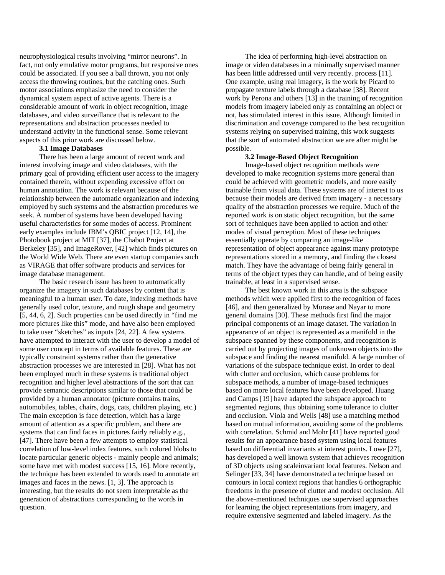neurophysiological results involving "mirror neurons". In fact, not only emulative motor programs, but responsive ones could be associated. If you see a ball thrown, you not only access the throwing routines, but the catching ones. Such motor associations emphasize the need to consider the dynamical system aspect of active agents. There is a considerable amount of work in object recognition, image databases, and video surveillance that is relevant to the representations and abstraction processes needed to understand activity in the functional sense. Some relevant aspects of this prior work are discussed below.

### **3.1 Image Databases**

There has been a large amount of recent work and interest involving image and video databases, with the primary goal of providing efficient user access to the imagery contained therein, without expending excessive effort on human annotation. The work is relevant because of the relationship between the automatic organization and indexing employed by such systems and the abstraction procedures we seek. A number of systems have been developed having useful characteristics for some modes of access. Prominent early examples include IBM's QBIC project [12, 14], the Photobook project at MIT [37], the Chabot Project at Berkeley [35], and ImageRover, [42] which finds pictures on the World Wide Web. There are even startup companies such as VIRAGE that offer software products and services for image database management.

The basic research issue has been to automatically organize the imagery in such databases by content that is meaningful to a human user. To date, indexing methods have generally used color, texture, and rough shape and geometry [5, 44, 6, 2]. Such properties can be used directly in "find me more pictures like this" mode, and have also been employed to take user "sketches" as inputs [24, 22]. A few systems have attempted to interact with the user to develop a model of some user concept in terms of available features. These are typically constraint systems rather than the generative abstraction processes we are interested in [28]. What has not been employed much in these systems is traditional object recognition and higher level abstractions of the sort that can provide semantic descriptions similar to those that could be provided by a human annotator (picture contains trains, automobiles, tables, chairs, dogs, cats, children playing, etc.) The main exception is face detection, which has a large amount of attention as a specific problem, and there are systems that can find faces in pictures fairly reliably e.g., [47]. There have been a few attempts to employ statistical correlation of low-level index features, such colored blobs to locate particular generic objects - mainly people and animals; some have met with modest success [15, 16]. More recently, the technique has been extended to words used to annotate art images and faces in the news. [1, 3]. The approach is interesting, but the results do not seem interpretable as the generation of abstractions corresponding to the words in question.

The idea of performing high-level abstraction on image or video databases in a minimally supervised manner has been little addressed until very recently. process [11]. One example, using real imagery, is the work by Picard to propagate texture labels through a database [38]. Recent work by Perona and others [13] in the training of recognition models from imagery labeled only as containing an object or not, has stimulated interest in this issue. Although limited in discrimination and coverage compared to the best recognition systems relying on supervised training, this work suggests that the sort of automated abstraction we are after might be possible.

### **3.2 Image-Based Object Recognition**

Image-based object recognition methods were developed to make recognition systems more general than could be achieved with geometric models, and more easily trainable from visual data. These systems are of interest to us because their models are derived from imagery - a necessary quality of the abstraction processes we require. Much of the reported work is on static object recognition, but the same sort of techniques have been applied to action and other modes of visual perception. Most of these techniques essentially operate by comparing an image-like representation of object appearance against many prototype representations stored in a memory, and finding the closest match. They have the advantage of being fairly general in terms of the object types they can handle, and of being easily trainable, at least in a supervised sense.

The best known work in this area is the subspace methods which were applied first to the recognition of faces [46], and then generalized by Murase and Nayar to more general domains [30]. These methods first find the major principal components of an image dataset. The variation in appearance of an object is represented as a manifold in the subspace spanned by these components, and recognition is carried out by projecting images of unknown objects into the subspace and finding the nearest manifold. A large number of variations of the subspace technique exist. In order to deal with clutter and occlusion, which cause problems for subspace methods, a number of image-based techniques based on more local features have been developed. Huang and Camps [19] have adapted the subspace approach to segmented regions, thus obtaining some tolerance to clutter and occlusion. Viola and Wells [48] use a matching method based on mutual information, avoiding some of the problems with correlation. Schmid and Mohr [41] have reported good results for an appearance based system using local features based on differential invariants at interest points. Lowe [27], has developed a well known system that achieves recognition of 3D objects using scaleinvariant local features. Nelson and Selinger [33, 34] have demonstrated a technique based on contours in local context regions that handles 6 orthographic freedoms in the presence of clutter and modest occlusion. All the above-mentioned techniques use supervised approaches for learning the object representations from imagery, and require extensive segmented and labeled imagery. As the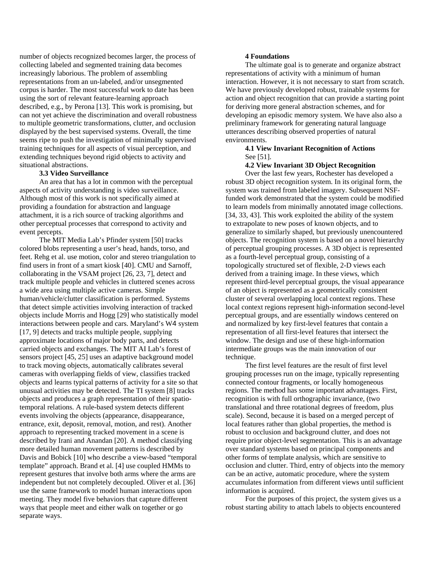number of objects recognized becomes larger, the process of collecting labeled and segmented training data becomes increasingly laborious. The problem of assembling representations from an un-labeled, and/or unsegmented corpus is harder. The most successful work to date has been using the sort of relevant feature-learning approach described, e.g., by Perona [13]. This work is promising, but can not yet achieve the discrimination and overall robustness to multiple geometric transformations, clutter, and occlusion displayed by the best supervised systems. Overall, the time seems ripe to push the investigation of minimally supervised training techniques for all aspects of visual perception, and extending techniques beyond rigid objects to activity and situational abstractions.

#### **3.3 Video Surveillance**

An area that has a lot in common with the perceptual aspects of activity understanding is video surveillance. Although most of this work is not specifically aimed at providing a foundation for abstraction and language attachment, it is a rich source of tracking algorithms and other perceptual processes that correspond to activity and event percepts.

The MIT Media Lab's Pfinder system [50] tracks colored blobs representing a user's head, hands, torso, and feet. Rehg et al. use motion, color and stereo triangulation to find users in front of a smart kiosk [40]. CMU and Sarnoff, collaborating in the VSAM project [26, 23, 7], detect and track multiple people and vehicles in cluttered scenes across a wide area using multiple active cameras. Simple human/vehicle/clutter classification is performed. Systems that detect simple activities involving interaction of tracked objects include Morris and Hogg [29] who statistically model interactions between people and cars. Maryland's W4 system [17, 9] detects and tracks multiple people, supplying approximate locations of major body parts, and detects carried objects and exchanges. The MIT AI Lab's forest of sensors project [45, 25] uses an adaptive background model to track moving objects, automatically calibrates several cameras with overlapping fields of view, classifies tracked objects and learns typical patterns of activity for a site so that unusual activities may be detected. The TI system [8] tracks objects and produces a graph representation of their spatiotemporal relations. A rule-based system detects different events involving the objects (appearance, disappearance, entrance, exit, deposit, removal, motion, and rest). Another approach to representing tracked movement in a scene is described by Irani and Anandan [20]. A method classifying more detailed human movement patterns is described by Davis and Bobick [10] who describe a view-based "temporal template" approach. Brand et al. [4] use coupled HMMs to represent gestures that involve both arms where the arms are independent but not completely decoupled. Oliver et al. [36] use the same framework to model human interactions upon meeting. They model five behaviors that capture different ways that people meet and either walk on together or go separate ways.

#### **4 Foundations**

The ultimate goal is to generate and organize abstract representations of activity with a minimum of human interaction. However, it is not necessary to start from scratch. We have previously developed robust, trainable systems for action and object recognition that can provide a starting point for deriving more general abstraction schemes, and for developing an episodic memory system. We have also also a preliminary framework for generating natural language utterances describing observed properties of natural environments.

### **4.1 View Invariant Recognition of Actions**  See [51].

### **4.2 View Invariant 3D Object Recognition**

Over the last few years, Rochester has developed a robust 3D object recognition system. In its original form, the system was trained from labeled imagery. Subsequent NSFfunded work demonstrated that the system could be modified to learn models from minimally annotated image collections. [34, 33, 43]. This work exploited the ability of the system to extrapolate to new poses of known objects, and to generalize to similarly shaped, but previously unencountered objects. The recognition system is based on a novel hierarchy of perceptual grouping processes. A 3D object is represented as a fourth-level perceptual group, consisting of a topologically structured set of flexible, 2-D views each derived from a training image. In these views, which represent third-level perceptual groups, the visual appearance of an object is represented as a geometrically consistent cluster of several overlapping local context regions. These local context regions represent high-information second-level perceptual groups, and are essentially windows centered on and normalized by key first-level features that contain a representation of all first-level features that intersect the window. The design and use of these high-information intermediate groups was the main innovation of our technique.

The first level features are the result of first level grouping processes run on the image, typically representing connected contour fragments, or locally homogeneous regions. The method has some important advantages. First, recognition is with full orthographic invariance, (two translational and three rotational degrees of freedom, plus scale). Second, because it is based on a merged percept of local features rather than global properties, the method is robust to occlusion and background clutter, and does not require prior object-level segmentation. This is an advantage over standard systems based on principal components and other forms of template analysis, which are sensitive to occlusion and clutter. Third, entry of objects into the memory can be an active, automatic procedure, where the system accumulates information from different views until sufficient information is acquired.

For the purposes of this project, the system gives us a robust starting ability to attach labels to objects encountered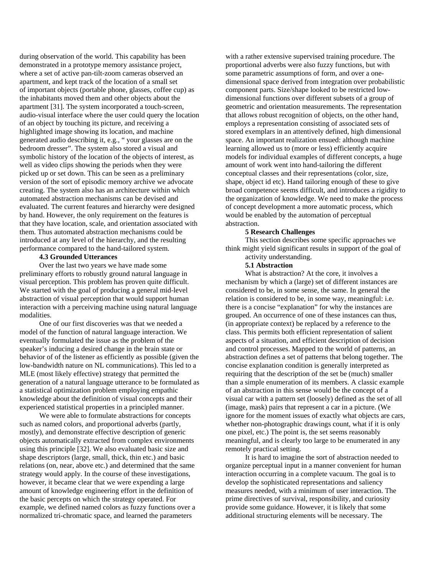during observation of the world. This capability has been demonstrated in a prototype memory assistance project, where a set of active pan-tilt-zoom cameras observed an apartment, and kept track of the location of a small set of important objects (portable phone, glasses, coffee cup) as the inhabitants moved them and other objects about the apartment [31]. The system incorporated a touch-screen, audio-visual interface where the user could query the location of an object by touching its picture, and receiving a highlighted image showing its location, and machine generated audio describing it, e.g., " your glasses are on the bedroom dresser". The system also stored a visual and symbolic history of the location of the objects of interest, as well as video clips showing the periods when they were picked up or set down. This can be seen as a preliminary version of the sort of episodic memory archive we advocate creating. The system also has an architecture within which automated abstraction mechanisms can be devised and evaluated. The current features and hierarchy were designed by hand. However, the only requirement on the features is that they have location, scale, and orientation associated with them. Thus automated abstraction mechanisms could be introduced at any level of the hierarchy, and the resulting performance compared to the hand-tailored system.

### **4.3 Grounded Utterances**

Over the last two years we have made some preliminary efforts to robustly ground natural language in visual perception. This problem has proven quite difficult. We started with the goal of producing a general mid-level abstraction of visual perception that would support human interaction with a perceiving machine using natural language modalities.

One of our first discoveries was that we needed a model of the function of natural language interaction. We eventually formulated the issue as the problem of the speaker's inducing a desired change in the brain state or behavior of of the listener as efficiently as possible (given the low-bandwidth nature on NL communications). This led to a MLE (most likely effective) strategy that permitted the generation of a natural language utterance to be formulated as a statistical optimization problem employing empathic knowledge about the definition of visual concepts and their experienced statistical properties in a principled manner.

We were able to formulate abstractions for concepts such as named colors, and proportional adverbs (partly, mostly), and demonstrate effective description of generic objects automatically extracted from complex environments using this principle [32]. We also evaluated basic size and shape descriptors (large, small, thick, thin etc.) and basic relations (on, near, above etc.) and determined that the same strategy would apply. In the course of these investigations, however, it became clear that we were expending a large amount of knowledge engineering effort in the definition of the basic percepts on which the strategy operated. For example, we defined named colors as fuzzy functions over a normalized tri-chromatic space, and learned the parameters

with a rather extensive supervised training procedure. The proportional adverbs were also fuzzy functions, but with some parametric assumptions of form, and over a onedimensional space derived from integration over probabilistic component parts. Size/shape looked to be restricted lowdimensional functions over different subsets of a group of geometric and orientation measurements. The representation that allows robust recognition of objects, on the other hand, employs a representation consisting of associated sets of stored exemplars in an attentively defined, high dimensional space. An important realization ensued: although machine learning allowed us to (more or less) efficiently acquire models for individual examples of different concepts, a huge amount of work went into hand-tailoring the different conceptual classes and their representations (color, size, shape, object id etc). Hand tailoring enough of these to give broad competence seems difficult, and introduces a rigidity to the organization of knowledge. We need to make the process of concept development a more automatic process, which would be enabled by the automation of perceptual abstraction.

#### **5 Research Challenges**

This section describes some specific approaches we think might yield significant results in support of the goal of activity understanding.

#### **5.1 Abstraction**

What is abstraction? At the core, it involves a mechanism by which a (large) set of different instances are considered to be, in some sense, the same. In general the relation is considered to be, in some way, meaningful: i.e. there is a concise "explanation" for why the instances are grouped. An occurrence of one of these instances can thus, (in appropriate context) be replaced by a reference to the class. This permits both efficient representation of salient aspects of a situation, and efficient description of decision and control processes. Mapped to the world of patterns, an abstraction defines a set of patterns that belong together. The concise explanation condition is generally interpreted as requiring that the description of the set be (much) smaller than a simple enumeration of its members. A classic example of an abstraction in this sense would be the concept of a visual car with a pattern set (loosely) defined as the set of all (image, mask) pairs that represent a car in a picture. (We ignore for the moment issues of exactly what objects are cars, whether non-photographic drawings count, what if it is only one pixel, etc.) The point is, the set seems reasonably meaningful, and is clearly too large to be enumerated in any remotely practical setting.

It is hard to imagine the sort of abstraction needed to organize perceptual input in a manner convenient for human interaction occurring in a complete vacuum. The goal is to develop the sophisticated representations and saliency measures needed, with a minimum of user interaction. The prime directives of survival, responsibility, and curiosity provide some guidance. However, it is likely that some additional structuring elements will be necessary. The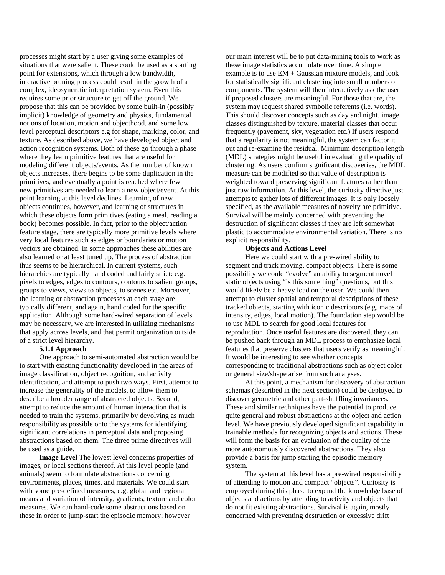processes might start by a user giving some examples of situations that were salient. These could be used as a starting point for extensions, which through a low bandwidth, interactive pruning process could result in the growth of a complex, ideosyncratic interpretation system. Even this requires some prior structure to get off the ground. We propose that this can be provided by some built-in (possibly implicit) knowledge of geometry and physics, fundamental notions of location, motion and objecthood, and some low level perceptual descriptors e.g for shape, marking, color, and texture. As described above, we have developed object and action recognition systems. Both of these go through a phase where they learn primitive features that are useful for modeling different objects/events. As the number of known objects increases, there begins to be some duplication in the primitives, and eventually a point is reached where few new primitives are needed to learn a new object/event. At this point learning at this level declines. Learning of new objects continues, however, and learning of structures in which these objects form primitives (eating a meal, reading a book) becomes possible. In fact, prior to the object/action feature stage, there are typically more primitive levels where very local features such as edges or boundaries or motion vectors are obtained. In some approaches these abilities are also learned or at least tuned up. The process of abstraction thus seems to be hierarchical. In current systems, such hierarchies are typically hand coded and fairly strict: e.g. pixels to edges, edges to contours, contours to salient groups, groups to views, views to objects, to scenes etc. Moreover, the learning or abstraction processes at each stage are typically different, and again, hand coded for the specific application. Although some hard-wired separation of levels may be necessary, we are interested in utilizing mechanisms that apply across levels, and that permit organization outside of a strict level hierarchy.

### **5.1.1 Approach**

One approach to semi-automated abstraction would be to start with existing functionality developed in the areas of image classification, object recognition, and activity identification, and attempt to push two ways. First, attempt to increase the generality of the models, to allow them to describe a broader range of abstracted objects. Second, attempt to reduce the amount of human interaction that is needed to train the systems, primarily by devolving as much responsibility as possible onto the systems for identifying significant correlations in perceptual data and proposing abstractions based on them. The three prime directives will be used as a guide.

**Image Level** The lowest level concerns properties of images, or local sections thereof. At this level people (and animals) seem to formulate abstractions concerning environments, places, times, and materials. We could start with some pre-defined measures, e.g. global and regional means and variation of intensity, gradients, texture and color measures. We can hand-code some abstractions based on these in order to jump-start the episodic memory; however

our main interest will be to put data-mining tools to work as these image statistics accumulate over time. A simple example is to use EM + Gaussian mixture models, and look for statistically significant clustering into small numbers of components. The system will then interactively ask the user if proposed clusters are meaningful. For those that are, the system may request shared symbolic referents (i.e. words). This should discover concepts such as day and night, image classes distinguished by texture, material classes that occur frequently (pavement, sky, vegetation etc.) If users respond that a regularity is not meaningful, the system can factor it out and re-examine the residual. Minimum description length (MDL) strategies might be useful in evaluating the quality of clustering. As users confirm significant discoveries, the MDL measure can be modified so that value of description is weighted toward preserving significant features rather than just raw information. At this level, the curiosity directive just attempts to gather lots of different images. It is only loosely specified, as the available measures of novelty are primitive. Survival will be mainly concerned with preventing the destruction of significant classes if they are left somewhat plastic to accommodate environmental variation. There is no explicit responsibility.

#### **Objects and Actions Level**

Here we could start with a pre-wired ability to segment and track moving, compact objects. There is some possibility we could "evolve" an ability to segment novel static objects using "is this something" questions, but this would likely be a heavy load on the user. We could then attempt to cluster spatial and temporal descriptions of these tracked objects, starting with iconic descriptors (e.g. maps of intensity, edges, local motion). The foundation step would be to use MDL to search for good local features for reproduction. Once useful features are discovered, they can be pushed back through an MDL process to emphasize local features that preserve clusters that users verify as meaningful. It would be interesting to see whether concepts corresponding to traditional abstractions such as object color or general size/shape arise from such analyses.

At this point, a mechanism for discovery of abstraction schemas (described in the next section) could be deployed to discover geometric and other part-shuffling invariances. These and similar techniques have the potential to produce quite general and robust abstractions at the object and action level. We have previously developed significant capability in trainable methods for recognizing objects and actions. These will form the basis for an evaluation of the quality of the more autonomously discovered abstractions. They also provide a basis for jump starting the episodic memory system.

The system at this level has a pre-wired responsibility of attending to motion and compact "objects". Curiosity is employed during this phase to expand the knowledge base of objects and actions by attending to activity and objects that do not fit existing abstractions. Survival is again, mostly concerned with preventing destruction or excessive drift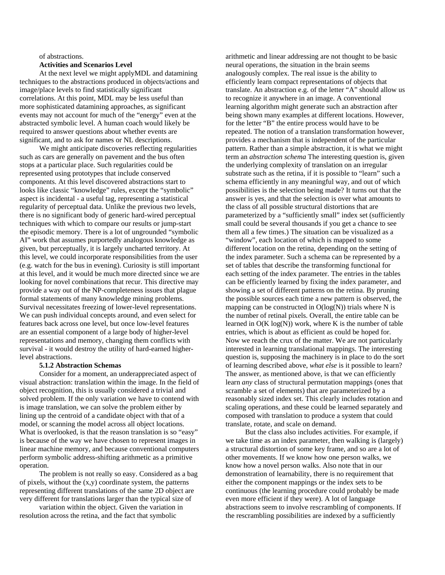### of abstractions.

### **Activities and Scenarios Level**

At the next level we might applyMDL and datamining techniques to the abstractions produced in objects/actions and image/place levels to find statistically significant correlations. At this point, MDL may be less useful than more sophisticated datamining approaches, as significant events may not account for much of the "energy" even at the abstracted symbolic level. A human coach would likely be required to answer questions about whether events are significant, and to ask for names or NL descriptions.

We might anticipate discoveries reflecting regularities such as cars are generally on pavement and the bus often stops at a particular place. Such regularities could be represented using prototypes that include conserved components. At this level discovered abstractions start to looks like classic "knowledge" rules, except the "symbolic" aspect is incidental - a useful tag, representing a statistical regularity of perceptual data. Unlike the previous two levels, there is no significant body of generic hard-wired perceptual techniques with which to compare our results or jump-start the episodic memory. There is a lot of ungrounded "symbolic AI" work that assumes purportedly analogous knowledge as given, but perceptually, it is largely uncharted territory. At this level, we could incorporate responsibilities from the user (e.g. watch for the bus in evening). Curiosity is still important at this level, and it would be much more directed since we are looking for novel combinations that recur. This directive may provide a way out of the NP-completeness issues that plague formal statements of many knowledge mining problems. Survival necessitates freezing of lower-level representations. We can push individual concepts around, and even select for features back across one level, but once low-level features are an essential component of a large body of higher-level representations and memory, changing them conflicts with survival - it would destroy the utility of hard-earned higherlevel abstractions.

#### **5.1.2 Abstraction Schemas**

Consider for a moment, an underappreciated aspect of visual abstraction: translation within the image. In the field of object recognition, this is usually considered a trivial and solved problem. If the only variation we have to contend with is image translation, we can solve the problem either by lining up the centroid of a candidate object with that of a model, or scanning the model across all object locations. What is overlooked, is that the reason translation is so "easy" is because of the way we have chosen to represent images in linear machine memory, and because conventional computers perform symbolic address-shifting arithmetic as a primitive operation.

The problem is not really so easy. Considered as a bag of pixels, without the (x,y) coordinate system, the patterns representing different translations of the same 2D object are very different for translations larger than the typical size of

variation within the object. Given the variation in resolution across the retina, and the fact that symbolic

arithmetic and linear addressing are not thought to be basic neural operations, the situation in the brain seems analogously complex. The real issue is the ability to efficiently learn compact representations of objects that translate. An abstraction e.g. of the letter "A" should allow us to recognize it anywhere in an image. A conventional learning algorithm might generate such an abstraction after being shown many examples at different locations. However, for the letter "B" the entire process would have to be repeated. The notion of a translation transformation however, provides a mechanism that is independent of the particular pattern. Rather than a simple abstraction, it is what we might term an *abstraction schema* The interesting question is, given the underlying complexity of translation on an irregular substrate such as the retina, if it is possible to "learn" such a schema efficiently in any meaningful way, and out of which possibilities is the selection being made? It turns out that the answer is yes, and that the selection is over what amounts to the class of all possible structural distortions that are parameterized by a "sufficiently small" index set (sufficiently small could be several thousands if you get a chance to see them all a few times.) The situation can be visualized as a "window", each location of which is mapped to some different location on the retina, depending on the setting of the index parameter. Such a schema can be represented by a set of tables that describe the transforming functional for each setting of the index parameter. The entries in the tables can be efficiently learned by fixing the index parameter, and showing a set of different patterns on the retina. By pruning the possible sources each time a new pattern is observed, the mapping can be constructed in  $O(log(N))$  trials where N is the number of retinal pixels. Overall, the entire table can be learned in  $O(K \log(N))$  work, where K is the number of table entries, which is about as efficient as could be hoped for. Now we reach the crux of the matter. We are not particularly interested in learning translational mappings. The interesting question is, supposing the machinery is in place to do the sort of learning described above, *what else* is it possible to learn? The answer, as mentioned above, is that we can efficiently learn *any* class of structural permutation mappings (ones that scramble a set of elements) that are parameterized by a reasonably sized index set. This clearly includes rotation and scaling operations, and these could be learned separately and composed with translation to produce a system that could translate, rotate, and scale on demand.

But the class also includes activities. For example, if we take time as an index parameter, then walking is (largely) a structural distortion of some key frame, and so are a lot of other movements. If we know how one person walks, we know how a novel person walks. Also note that in our demonstration of learnability, there is no requirement that either the component mappings or the index sets to be continuous (the learning procedure could probably be made even more efficient if they were). A lot of language abstractions seem to involve rescrambling of components. If the rescrambling possibilities are indexed by a sufficiently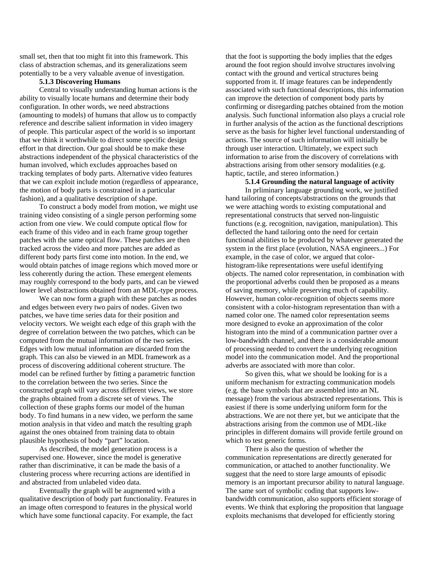small set, then that too might fit into this framework. This class of abstraction schemas, and its generalizations seem potentially to be a very valuable avenue of investigation.

### **5.1.3 Discovering Humans**

Central to visually understanding human actions is the ability to visually locate humans and determine their body configuration. In other words, we need abstractions (amounting to models) of humans that allow us to compactly reference and describe salient information in video imagery of people. This particular aspect of the world is so important that we think it worthwhile to direct some specific design effort in that direction. Our goal should be to make these abstractions independent of the physical characteristics of the human involved, which excludes approaches based on tracking templates of body parts. Alternative video features that we can exploit include motion (regardless of appearance, the motion of body parts is constrained in a particular fashion), and a qualitative description of shape.

To construct a body model from motion, we might use training video consisting of a single person performing some action from one view. We could compute optical flow for each frame of this video and in each frame group together patches with the same optical flow. These patches are then tracked across the video and more patches are added as different body parts first come into motion. In the end, we would obtain patches of image regions which moved more or less coherently during the action. These emergent elements may roughly correspond to the body parts, and can be viewed lower level abstractions obtained from an MDL-type process.

We can now form a graph with these patches as nodes and edges between every two pairs of nodes. Given two patches, we have time series data for their position and velocity vectors. We weight each edge of this graph with the degree of correlation between the two patches, which can be computed from the mutual information of the two series. Edges with low mutual information are discarded from the graph. This can also be viewed in an MDL framework as a process of discovering additional coherent structure. The model can be refined further by fitting a parametric function to the correlation between the two series. Since the constructed graph will vary across different views, we store the graphs obtained from a discrete set of views. The collection of these graphs forms our model of the human body. To find humans in a new video, we perform the same motion analysis in that video and match the resulting graph against the ones obtained from training data to obtain plausible hypothesis of body "part" location.

As described, the model generation process is a supervised one. However, since the model is generative rather than discriminative, it can be made the basis of a clustering process where recurring actions are identified in and abstracted from unlabeled video data.

Eventually the graph will be augmented with a qualitative description of body part functionality. Features in an image often correspond to features in the physical world which have some functional capacity. For example, the fact

that the foot is supporting the body implies that the edges around the foot region should involve structures involving contact with the ground and vertical structures being supported from it. If image features can be independently associated with such functional descriptions, this information can improve the detection of component body parts by confirming or disregarding patches obtained from the motion analysis. Such functional information also plays a crucial role in further analysis of the action as the functional descriptions serve as the basis for higher level functional understanding of actions. The source of such information will initially be through user interaction. Ultimately, we expect such information to arise from the discovery of correlations with abstractions arising from other sensory modalities (e.g. haptic, tactile, and stereo information.)

### **5.1.4 Grounding the natural language of activity**

In prliminary language grounding work, we justified hand tailoring of concepts/abstractions on the grounds that we were attaching words to existing computational and representational constructs that served non-linguistic functions (e.g. recognition, navigation, manipulation). This deflected the hand tailoring onto the need for certain functional abilities to be produced by whatever generated the system in the first place (evolution, NASA engineers...) For example, in the case of color, we argued that colorhistogram-like representations were useful identifying objects. The named color representation, in combination with the proportional adverbs could then be proposed as a means of saving memory, while preserving much of capability. However, human color-recognition of objects seems more consistent with a color-histogram representation than with a named color one. The named color representation seems more designed to evoke an approximation of the color histogram into the mind of a communication partner over a low-bandwidth channel, and there is a considerable amount of processing needed to convert the underlying recognition model into the communication model. And the proportional adverbs are associated with more than color.

So given this, what we should be looking for is a uniform mechanism for extracting communication models (e.g. the base symbols that are assembled into an NL message) from the various abstracted representations. This is easiest if there is some underlying uniform form for the abstractions. We are not there yet, but we anticipate that the abstractions arising from the common use of MDL-like principles in different domains will provide fertile ground on which to test generic forms.

There is also the question of whether the communication representations are directly generated for communication, or attached to another functionality. We suggest that the need to store large amounts of episodic memory is an important precursor ability to natural language. The same sort of symbolic coding that supports lowbandwidth communication, also supports efficient storage of events. We think that exploring the proposition that language exploits mechanisms that developed for efficiently storing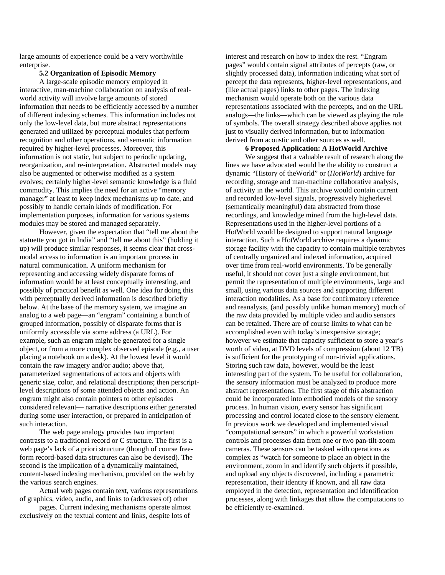large amounts of experience could be a very worthwhile enterprise.

### **5.2 Organization of Episodic Memory**

A large-scale episodic memory employed in interactive, man-machine collaboration on analysis of realworld activity will involve large amounts of stored information that needs to be efficiently accessed by a number of different indexing schemes. This information includes not only the low-level data, but more abstract representations generated and utilized by perceptual modules that perform recognition and other operations, and semantic information required by higher-level processes. Moreover, this information is not static, but subject to periodic updating, reorganization, and re-interpretation. Abstracted models may also be augmented or otherwise modified as a system evolves; certainly higher-level semantic knowledge is a fluid commodity. This implies the need for an active "memory manager" at least to keep index mechanisms up to date, and possibly to handle certain kinds of modification. For implementation purposes, information for various systems modules may be stored and managed separately.

However, given the expectation that "tell me about the statuette you got in India" and "tell me about this" (holding it up) will produce similar responses, it seems clear that crossmodal access to information is an important process in natural communication. A uniform mechanism for representing and accessing widely disparate forms of information would be at least conceptually interesting, and possibly of practical benefit as well. One idea for doing this with perceptually derived information is described briefly below. At the base of the memory system, we imagine an analog to a web page—an "engram" containing a bunch of grouped information, possibly of disparate forms that is uniformly accessible via some address (a URL). For example, such an engram might be generated for a single object, or from a more complex observed episode (e.g., a user placing a notebook on a desk). At the lowest level it would contain the raw imagery and/or audio; above that, parameterized segmentations of actors and objects with generic size, color, and relational descriptions; then perscriptlevel descriptions of some attended objects and action. An engram might also contain pointers to other episodes considered relevant— narrative descriptions either generated during some user interaction, or prepared in anticipation of such interaction.

The web page analogy provides two important contrasts to a traditional record or C structure. The first is a web page's lack of a priori structure (though of course freeform record-based data structures can also be devised). The second is the implication of a dynamically maintained, content-based indexing mechanism, provided on the web by the various search engines.

Actual web pages contain text, various representations of graphics, video, audio, and links to (addresses of) other

pages. Current indexing mechanisms operate almost exclusively on the textual content and links, despite lots of

interest and research on how to index the rest. "Engram pages" would contain signal attributes of percepts (raw, or slightly processed data), information indicating what sort of percept the data represents, higher-level representations, and (like actual pages) links to other pages. The indexing mechanism would operate both on the various data representations associated with the percepts, and on the URL analogs—the links—which can be viewed as playing the role of symbols. The overall strategy described above applies not just to visually derived information, but to information derived from acoustic and other sources as well.

### **6 Proposed Application: A HotWorld Archive**

We suggest that a valuable result of research along the lines we have advocated would be the ability to construct a dynamic "History of theWorld" or (*HotWorld*) archive for recording, storage and man-machine collaborative analysis, of activity in the world. This archive would contain current and recorded low-level signals, progressively higherlevel (semantically meaningful) data abstracted from those recordings, and knowledge mined from the high-level data. Representations used in the higher-level portions of a HotWorld would be designed to support natural language interaction. Such a HotWorld archive requires a dynamic storage facility with the capacity to contain multiple terabytes of centrally organized and indexed information, acquired over time from real-world environments. To be generally useful, it should not cover just a single environment, but permit the representation of multiple environments, large and small, using various data sources and supporting different interaction modalities. As a base for confirmatory reference and reanalysis, (and possibly unlike human memory) much of the raw data provided by multiple video and audio sensors can be retained. There are of course limits to what can be accomplished even with today's inexpensive storage; however we estimate that capacity sufficient to store a year's worth of video, at DVD levels of compression (about 12 TB) is sufficient for the prototyping of non-trivial applications. Storing such raw data, however, would be the least interesting part of the system. To be useful for collaboration, the sensory information must be analyzed to produce more abstract representations. The first stage of this abstraction could be incorporated into embodied models of the sensory process. In human vision, every sensor has significant processing and control located close to the sensory element. In previous work we developed and implemented visual "computational sensors" in which a powerful workstation controls and processes data from one or two pan-tilt-zoom cameras. These sensors can be tasked with operations as complex as "watch for someone to place an object in the environment, zoom in and identify such objects if possible, and upload any objects discovered, including a parametric representation, their identity if known, and all raw data employed in the detection, representation and identification processes, along with linkages that allow the computations to be efficiently re-examined.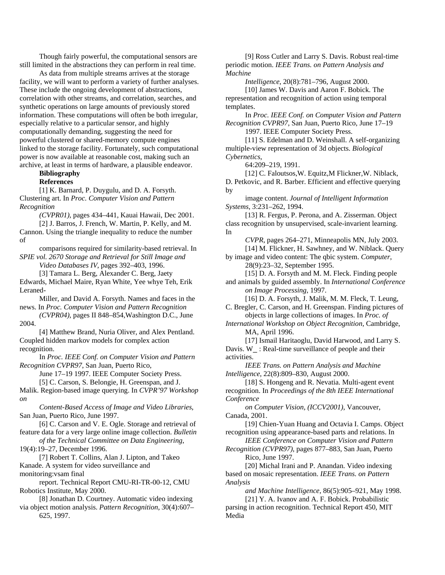Though fairly powerful, the computational sensors are still limited in the abstractions they can perform in real time.

As data from multiple streams arrives at the storage facility, we will want to perform a variety of further analyses. These include the ongoing development of abstractions, correlation with other streams, and correlation, searches, and synthetic operations on large amounts of previously stored information. These computations will often be both irregular, especially relative to a particular sensor, and highly computationally demanding, suggesting the need for powerful clustered or shared-memory compute engines linked to the storage facility. Fortunately, such computational power is now available at reasonable cost, making such an archive, at least in terms of hardware, a plausible endeavor.

# **Bibliography**

**References** 

[1] K. Barnard, P. Duygulu, and D. A. Forsyth. Clustering art. In *Proc. Computer Vision and Pattern Recognition* 

*(CVPR01)*, pages 434–441, Kauai Hawaii, Dec 2001. [2] J. Barros, J. French, W. Martin, P. Kelly, and M.

Cannon. Using the triangle inequality to reduce the number of

comparisons required for similarity-based retrieval. In *SPIE vol. 2670 Storage and Retrieval for Still Image and Video Databases IV*, pages 392–403, 1996.

[3] Tamara L. Berg, Alexander C. Berg, Jaety

Edwards, Michael Maire, Ryan White, Yee whye Teh, Erik Leraned-

Miller, and David A. Forsyth. Names and faces in the news. In *Proc. Computer Vision and Pattern Recognition* 

*(CVPR04)*, pages II 848–854,Washington D.C., June 2004.

[4] Matthew Brand, Nuria Oliver, and Alex Pentland. Coupled hidden markov models for complex action recognition.

In *Proc. IEEE Conf. on Computer Vision and Pattern Recognition CVPR97*, San Juan, Puerto Rico,

June 17–19 1997. IEEE Computer Society Press.

[5] C. Carson, S. Belongie, H. Greenspan, and J.

Malik. Region-based image querying. In *CVPR'97 Workshop on* 

*Content-Based Access of Image and Video Libraries*, San Juan, Puerto Rico, June 1997.

[6] C. Carson and V. E. Ogle. Storage and retrieval of feature data for a very large online image collection. *Bulletin* 

*of the Technical Committee on Data Engineering*, 19(4):19–27, December 1996.

[7] Robert T. Collins, Alan J. Lipton, and Takeo Kanade. A system for video surveillance and monitoring:vsam final

report. Technical Report CMU-RI-TR-00-12, CMU Robotics Institute, May 2000.

[8] Jonathan D. Courtney. Automatic video indexing via object motion analysis. *Pattern Recognition*, 30(4):607– 625, 1997.

[9] Ross Cutler and Larry S. Davis. Robust real-time periodic motion. *IEEE Trans. on Pattern Analysis and Machine* 

*Intelligence*, 20(8):781–796, August 2000.

[10] James W. Davis and Aaron F. Bobick. The representation and recognition of action using temporal templates.

In *Proc. IEEE Conf. on Computer Vision and Pattern Recognition CVPR97*, San Juan, Puerto Rico, June 17–19 1997. IEEE Computer Society Press.

[11] S. Edelman and D. Weinshall. A self-organizing multiple-view representation of 3d objects. *Biological Cybernetics*,

64:209–219, 1991.

[12] C. Faloutsos,W. Equitz,M Flickner,W. Niblack, D. Petkovic, and R. Barber. Efficient and effective querying by

image content. *Journal of Intelligent Information Systems*, 3:231–262, 1994.

[13] R. Fergus, P. Perona, and A. Zisserman. Object class recognition by unsupervised, scale-invarient learning. In

*CVPR*, pages 264–271, Minneapolis MN, July 2003. [14] M. Flickner, H. Sawhney, and W. Niblack. Query

by image and video content: The qbic system. *Computer*, 28(9):23–32, September 1995.

[15] D. A. Forsyth and M. M. Fleck. Finding people and animals by guided assembly. In *International Conference on Image Processing*, 1997.

[16] D. A. Forsyth, J. Malik, M. M. Fleck, T. Leung, C. Bregler, C. Carson, and H. Greenspan. Finding pictures of

objects in large collections of images. In *Proc. of* 

*International Workshop on Object Recognition*, Cambridge, MA, April 1996.

[17] Ismail Haritaoglu, David Harwood, and Larry S. Davis. W : Real-time surveillance of people and their activities.

*IEEE Trans. on Pattern Analysis and Machine Intelligence*, 22(8):809–830, August 2000.

[18] S. Hongeng and R. Nevatia. Multi-agent event recognition. In *Proceedings of the 8th IEEE International Conference* 

*on Computer Vision, (ICCV2001)*, Vancouver, Canada, 2001.

[19] Chien-Yuan Huang and Octavia I. Camps. Object recognition using appearance-based parts and relations. In

*IEEE Conference on Computer Vision and Pattern Recognition (CVPR97)*, pages 877–883, San Juan, Puerto Rico, June 1997.

[20] Michal Irani and P. Anandan. Video indexing based on mosaic representation. *IEEE Trans. on Pattern Analysis* 

*and Machine Intelligence*, 86(5):905–921, May 1998. [21] Y. A. Ivanov and A. F. Bobick. Probabilistic

parsing in action recognition. Technical Report 450, MIT Media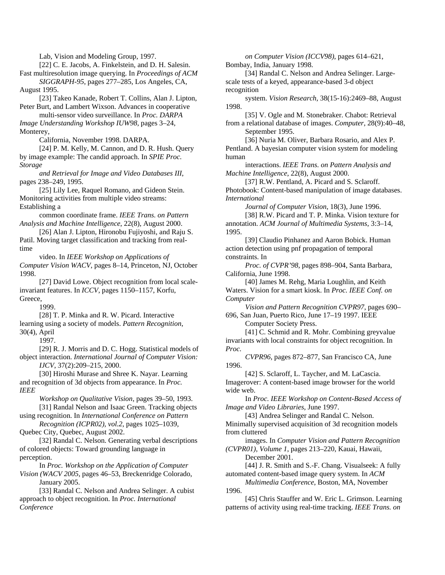Lab, Vision and Modeling Group, 1997. [22] C. E. Jacobs, A. Finkelstein, and D. H. Salesin. Fast multiresolution image querying. In *Proceedings of ACM SIGGRAPH-95*, pages 277–285, Los Angeles, CA, August 1995. [23] Takeo Kanade, Robert T. Collins, Alan J. Lipton, Peter Burt, and Lambert Wixson. Advances in cooperative multi-sensor video surveillance. In *Proc. DARPA Image Understanding Workshop IUW98*, pages 3–24, Monterey, California, November 1998. DARPA. [24] P. M. Kelly, M. Cannon, and D. R. Hush. Query by image example: The candid approach. In *SPIE Proc. Storage and Retrieval for Image and Video Databases III*, pages 238–249, 1995. [25] Lily Lee, Raquel Romano, and Gideon Stein. Monitoring activities from multiple video streams: Establishing a common coordinate frame. *IEEE Trans. on Pattern Analysis and Machine Intelligence*, 22(8), August 2000. [26] Alan J. Lipton, Hironobu Fujiyoshi, and Raju S. Patil. Moving target classification and tracking from realtime video. In *IEEE Workshop on Applications of Computer Vision WACV*, pages 8–14, Princeton, NJ, October 1998. [27] David Lowe. Object recognition from local scaleinvariant features. In *ICCV*, pages 1150–1157, Korfu, Greece, 1999. [28] T. P. Minka and R. W. Picard. Interactive learning using a society of models. *Pattern Recognition*, 30(4), April 1997. [29] R. J. Morris and D. C. Hogg. Statistical models of object interaction. *International Journal of Computer Vision: IJCV*, 37(2):209–215, 2000. [30] Hiroshi Murase and Shree K. Nayar. Learning and recognition of 3d objects from appearance. In *Proc. IEEE Workshop on Qualitative Vision*, pages 39–50, 1993. [31] Randal Nelson and Isaac Green. Tracking objects using recognition. In *International Conference on Pattern Recognition (ICPR02), vol.2*, pages 1025–1039, Quebec City, Quebec, August 2002. [32] Randal C. Nelson. Generating verbal descriptions of colored objects: Toward grounding language in perception. In *Proc. Workshop on the Application of Computer* 

*Vision (WACV 2005*, pages 46–53, Breckenridge Colorado, January 2005.

[33] Randal C. Nelson and Andrea Selinger. A cubist approach to object recognition. In *Proc. International Conference* 

*on Computer Vision (ICCV98)*, pages 614–621, Bombay, India, January 1998.

[34] Randal C. Nelson and Andrea Selinger. Largescale tests of a keyed, appearance-based 3-d object recognition

system. *Vision Research*, 38(15-16):2469–88, August 1998.

[35] V. Ogle and M. Stonebraker. Chabot: Retrieval from a relational database of images. *Computer*, 28(9):40–48, September 1995.

[36] Nuria M. Oliver, Barbara Rosario, and Alex P. Pentland. A bayesian computer vision system for modeling human

interactions. *IEEE Trans. on Pattern Analysis and Machine Intelligence*, 22(8), August 2000.

[37] R.W. Pentland, A. Picard and S. Sclaroff. Photobook: Content-based manipulation of image databases. *International* 

*Journal of Computer Vision*, 18(3), June 1996.

[38] R.W. Picard and T. P. Minka. Vision texture for annotation. *ACM Journal of Multimedia Systems*, 3:3–14, 1995.

[39] Claudio Pinhanez and Aaron Bobick. Human action detection using pnf propagation of temporal constraints. In

*Proc. of CVPR'98*, pages 898–904, Santa Barbara, California, June 1998.

[40] James M. Rehg, Maria Loughlin, and Keith Waters. Vision for a smart kiosk. In *Proc. IEEE Conf. on Computer* 

*Vision and Pattern Recognition CVPR97*, pages 690– 696, San Juan, Puerto Rico, June 17–19 1997. IEEE

Computer Society Press.

[41] C. Schmid and R. Mohr. Combining greyvalue invariants with local constraints for object recognition. In *Proc.* 

*CVPR96*, pages 872–877, San Francisco CA, June 1996.

[42] S. Sclaroff, L. Taycher, and M. LaCascia. Imagerover: A content-based image browser for the world wide web.

In *Proc. IEEE Workshop on Content-Based Access of Image and Video Libraries*, June 1997.

[43] Andrea Selinger and Randal C. Nelson. Minimally supervised acquisition of 3d recognition models from cluttered

images. In *Computer Vision and Pattern Recognition (CVPR01), Volume 1*, pages 213–220, Kauai, Hawaii, December 2001.

[44] J. R. Smith and S.-F. Chang. Visualseek: A fully automated content-based image query system. In *ACM* 

*Multimedia Conference*, Boston, MA, November 1996.

[45] Chris Stauffer and W. Eric L. Grimson. Learning patterns of activity using real-time tracking. *IEEE Trans. on*